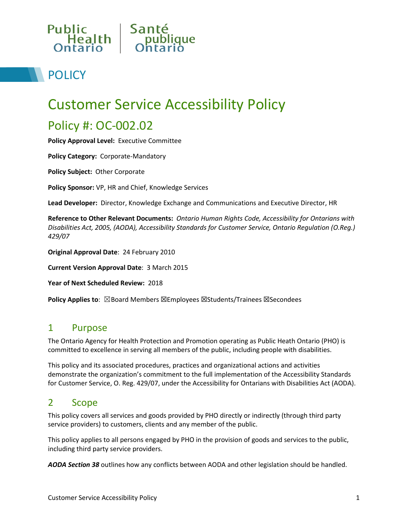

# **POLICY**

# Customer Service Accessibility Policy

## Policy #: OC-002.02

**Policy Approval Level:** Executive Committee

**Policy Category:** Corporate-Mandatory

**Policy Subject:** Other Corporate

**Policy Sponsor:** VP, HR and Chief, Knowledge Services

**Lead Developer:** Director, Knowledge Exchange and Communications and Executive Director, HR

**Reference to Other Relevant Documents:** *Ontario Human Rights Code, Accessibility for Ontarians with Disabilities Act, 2005, (AODA), Accessibility Standards for Customer Service, Ontario Regulation (O.Reg.) 429/07* 

**Original Approval Date**: 24 February 2010

**Current Version Approval Date**: 3 March 2015

**Year of Next Scheduled Review:** 2018

**Policy Applies to**: ⊠Board Members ⊠Employees ⊠Students/Trainees ⊠Secondees

## 1 Purpose

The Ontario Agency for Health Protection and Promotion operating as Public Heath Ontario (PHO) is committed to excellence in serving all members of the public, including people with disabilities.

This policy and its associated procedures, practices and organizational actions and activities demonstrate the organization's commitment to the full implementation of the Accessibility Standards for Customer Service, O. Reg. 429/07, under the Accessibility for Ontarians with Disabilities Act (AODA).

## 2 Scope

This policy covers all services and goods provided by PHO directly or indirectly (through third party service providers) to customers, clients and any member of the public.

This policy applies to all persons engaged by PHO in the provision of goods and services to the public, including third party service providers.

*AODA Section 38* outlines how any conflicts between AODA and other legislation should be handled.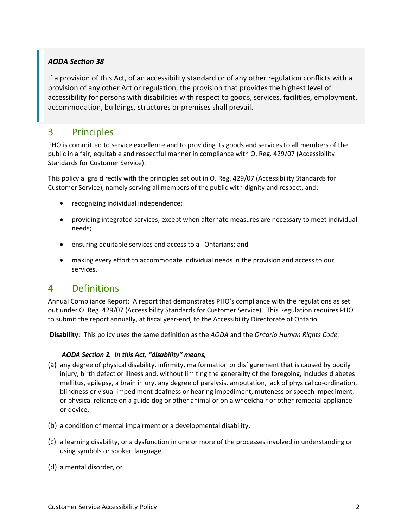#### *AODA Section 38*

[If a provision of this Act, of an accessibility](http://www.e-laws.gov.on.ca/html/statutes/english/elaws_statutes_05a11_e.htm#BK50) [standard or of any other regulation conflicts with a](http://www.e-laws.gov.on.ca/html/statutes/english/elaws_statutes_05a11_e.htm#BK50)  [provision of any other Act or regulation, the provision that provides the highest](http://www.e-laws.gov.on.ca/html/statutes/english/elaws_statutes_05a11_e.htm#BK50) [level of](http://www.e-laws.gov.on.ca/html/statutes/english/elaws_statutes_05a11_e.htm#BK50)  [accessibility for persons with disabilities with respect to goods, services, facilities, employment,](http://www.e-laws.gov.on.ca/html/statutes/english/elaws_statutes_05a11_e.htm#BK50)  accommodation, buildings, structures or premises shall prevail.

## 3 Principles

PHO is committed to service excellence and to providing its goods and services to all members of the public in a fair, equitable and respectful manner in compliance with O. Reg. 429/07 (Accessibility Standards for Customer Service).

This policy aligns directly with the principles set out in O. Reg. 429/07 (Accessibility Standards for Customer Service), namely serving all members of the public with dignity and respect, and:

- recognizing individual independence;
- providing integrated services, except when alternate measures are necessary to meet individual needs;
- ensuring equitable services and access to all Ontarians; and
- making every effort to accommodate individual needs in the provision and access to our services.

## 4 Definitions

Annual Compliance Report: A report that demonstrates PHO's compliance with the regulations as set out under O. Reg. 429/07 (Accessibility Standards for Customer Service). This Regulation requires PHO to submit the report annually, at fiscal year-end, to the Accessibility Directorate of Ontario.

**Disability:** This policy uses the same definition as the *AODA* and the *Ontario Human Rights Code.* 

#### *AODA Section [2.](http://www.e-laws.gov.on.ca/html/statutes/french/elaws_statutes_05a11_f.htm#s2) In this Act, "disability" means,*

- (a) any degree of physical disability, infirmity, malformation or disfigurement that is caused by bodily injury, birth defect or illness and, without limiting the generality of the foregoing, includes diabetes mellitus, epilepsy, a brain injury, any degree of paralysis, amputation, lack of physical co-ordination, blindness or visual impediment deafness or hearing impediment, muteness or speech impediment, or physical reliance on a guide dog or other animal or on a wheelchair or other remedial appliance or device,
- (b) a condition of mental impairment or a developmental disability,
- (c) a learning disability, or a dysfunction in one or more of the processes involved in understanding or using symbols or spoken language,
- (d) a mental disorder, or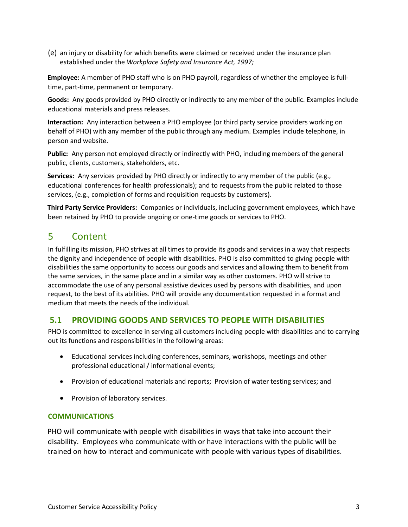(e) an injury or disability for which benefits were claimed or received under the insurance plan established under the *Workplace Safety and Insurance Act, 1997;*

**Employee:** A member of PHO staff who is on PHO payroll, regardless of whether the employee is fulltime, part-time, permanent or temporary.

**Goods:** Any goods provided by PHO directly or indirectly to any member of the public. Examples include educational materials and press releases.

**Interaction:** Any interaction between a PHO employee (or third party service providers working on behalf of PHO) with any member of the public through any medium. Examples include telephone, in person and website.

**Public:** Any person not employed directly or indirectly with PHO, including members of the general public, clients, customers, stakeholders, etc.

**Services:** Any services provided by PHO directly or indirectly to any member of the public (e.g., educational conferences for health professionals); and to requests from the public related to those services, (e.g., completion of forms and requisition requests by customers).

**Third Party Service Providers:** Companies or individuals, including government employees, which have been retained by PHO to provide ongoing or one-time goods or services to PHO.

## 5 Content

In fulfilling its mission, PHO strives at all times to provide its goods and services in a way that respects the dignity and independence of people with disabilities. PHO is also committed to giving people with disabilities the same opportunity to access our goods and services and allowing them to benefit from the same services, in the same place and in a similar way as other customers. PHO will strive to accommodate the use of any personal assistive devices used by persons with disabilities, and upon request, to the best of its abilities. PHO will provide any documentation requested in a format and medium that meets the needs of the individual.

## **5.1 PROVIDING GOODS AND SERVICES TO PEOPLE WITH DISABILITIES**

PHO is committed to excellence in serving all customers including people with disabilities and to carrying out its functions and responsibilities in the following areas:

- Educational services including conferences, seminars, workshops, meetings and other professional educational / informational events;
- Provision of educational materials and reports; Provision of water testing services; and
- Provision of laboratory services.

#### **COMMUNICATIONS**

PHO will communicate with people with disabilities in ways that take into account their disability. Employees who communicate with or have interactions with the public will be trained on how to interact and communicate with people with various types of disabilities.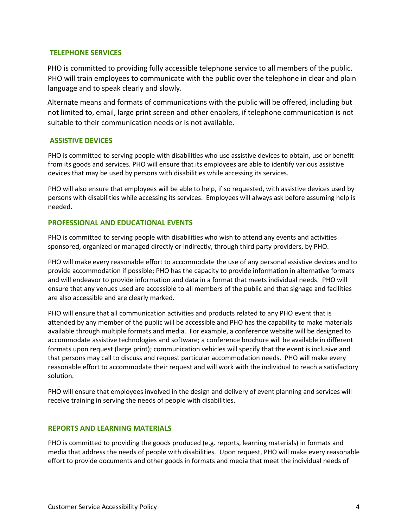#### **TELEPHONE SERVICES**

PHO is committed to providing fully accessible telephone service to all members of the public. PHO will train employees to communicate with the public over the telephone in clear and plain language and to speak clearly and slowly.

Alternate means and formats of communications with the public will be offered, including but not limited to, email, large print screen and other enablers, if telephone communication is not suitable to their communication needs or is not available.

#### **ASSISTIVE DEVICES**

PHO is committed to serving people with disabilities who use assistive devices to obtain, use or benefit from its goods and services. PHO will ensure that its employees are able to identify various assistive devices that may be used by persons with disabilities while accessing its services.

PHO will also ensure that employees will be able to help, if so requested, with assistive devices used by persons with disabilities while accessing its services. Employees will always ask before assuming help is needed.

#### **PROFESSIONAL AND EDUCATIONAL EVENTS**

PHO is committed to serving people with disabilities who wish to attend any events and activities sponsored, organized or managed directly or indirectly, through third party providers, by PHO.

PHO will make every reasonable effort to accommodate the use of any personal assistive devices and to provide accommodation if possible; PHO has the capacity to provide information in alternative formats and will endeavor to provide information and data in a format that meets individual needs. PHO will ensure that any venues used are accessible to all members of the public and that signage and facilities are also accessible and are clearly marked.

PHO will ensure that all communication activities and products related to any PHO event that is attended by any member of the public will be accessible and PHO has the capability to make materials available through multiple formats and media. For example, a conference website will be designed to accommodate assistive technologies and software; a conference brochure will be available in different formats upon request (large print); communication vehicles will specify that the event is inclusive and that persons may call to discuss and request particular accommodation needs. PHO will make every reasonable effort to accommodate their request and will work with the individual to reach a satisfactory solution.

PHO will ensure that employees involved in the design and delivery of event planning and services will receive training in serving the needs of people with disabilities.

#### **REPORTS AND LEARNING MATERIALS**

PHO is committed to providing the goods produced (e.g. reports, learning materials) in formats and media that address the needs of people with disabilities. Upon request, PHO will make every reasonable effort to provide documents and other goods in formats and media that meet the individual needs of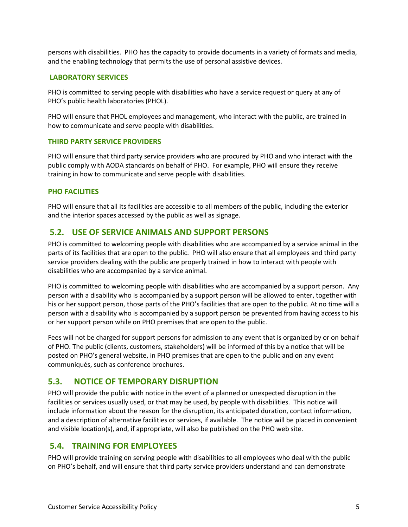persons with disabilities. PHO has the capacity to provide documents in a variety of formats and media, and the enabling technology that permits the use of personal assistive devices.

#### **LABORATORY SERVICES**

PHO is committed to serving people with disabilities who have a service request or query at any of PHO's public health laboratories (PHOL).

PHO will ensure that PHOL employees and management, who interact with the public, are trained in how to communicate and serve people with disabilities.

#### **THIRD PARTY SERVICE PROVIDERS**

PHO will ensure that third party service providers who are procured by PHO and who interact with the public comply with AODA standards on behalf of PHO. For example, PHO will ensure they receive training in how to communicate and serve people with disabilities.

#### **PHO FACILITIES**

PHO will ensure that all its facilities are accessible to all members of the public, including the exterior and the interior spaces accessed by the public as well as signage.

#### **5.2. USE OF SERVICE ANIMALS AND SUPPORT PERSONS**

PHO is committed to welcoming people with disabilities who are accompanied by a service animal in the parts of its facilities that are open to the public. PHO will also ensure that all employees and third party service providers dealing with the public are properly trained in how to interact with people with disabilities who are accompanied by a service animal.

PHO is committed to welcoming people with disabilities who are accompanied by a support person. Any person with a disability who is accompanied by a support person will be allowed to enter, together with his or her support person, those parts of the PHO's facilities that are open to the public. At no time will a person with a disability who is accompanied by a support person be prevented from having access to his or her support person while on PHO premises that are open to the public.

Fees will not be charged for support persons for admission to any event that is organized by or on behalf of PHO. The public (clients, customers, stakeholders) will be informed of this by a notice that will be posted on PHO's general website, in PHO premises that are open to the public and on any event communiqués, such as conference brochures.

#### **5.3. NOTICE OF TEMPORARY DISRUPTION**

PHO will provide the public with notice in the event of a planned or unexpected disruption in the facilities or services usually used, or that may be used, by people with disabilities. This notice will include information about the reason for the disruption, its anticipated duration, contact information, and a description of alternative facilities or services, if available. The notice will be placed in convenient and visible location(s), and, if appropriate, will also be published on the PHO web site.

#### **5.4. TRAINING FOR EMPLOYEES**

PHO will provide training on serving people with disabilities to all employees who deal with the public on PHO's behalf, and will ensure that third party service providers understand and can demonstrate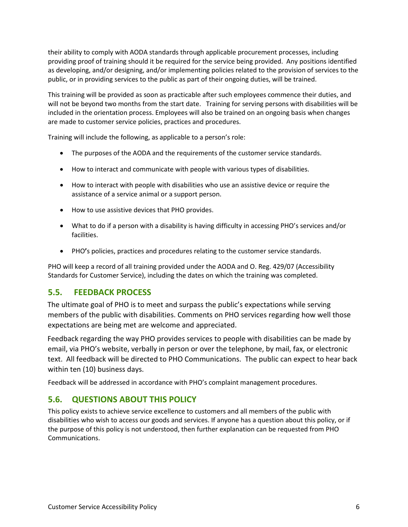their ability to comply with AODA standards through applicable procurement processes, including providing proof of training should it be required for the service being provided. Any positions identified as developing, and/or designing, and/or implementing policies related to the provision of services to the public, or in providing services to the public as part of their ongoing duties, will be trained.

This training will be provided as soon as practicable after such employees commence their duties, and will not be beyond two months from the start date. Training for serving persons with disabilities will be included in the orientation process. Employees will also be trained on an ongoing basis when changes are made to customer service policies, practices and procedures.

Training will include the following, as applicable to a person's role:

- The purposes of the AODA and the requirements of the customer service standards.
- How to interact and communicate with people with various types of disabilities.
- How to interact with people with disabilities who use an assistive device or require the assistance of a service animal or a support person.
- How to use assistive devices that PHO provides.
- What to do if a person with a disability is having difficulty in accessing PHO's services and/or facilities.
- PHO**'**s policies, practices and procedures relating to the customer service standards.

PHO will keep a record of all training provided under the AODA and O. Reg. 429/07 (Accessibility Standards for Customer Service), including the dates on which the training was completed.

## **5.5. FEEDBACK PROCESS**

The ultimate goal of PHO is to meet and surpass the public's expectations while serving members of the public with disabilities. Comments on PHO services regarding how well those expectations are being met are welcome and appreciated.

Feedback regarding the way PHO provides services to people with disabilities can be made by email, via PHO's website, verbally in person or over the telephone, by mail, fax, or electronic text. All feedback will be directed to PHO Communications. The public can expect to hear back within ten (10) business days.

Feedback will be addressed in accordance with PHO's complaint management procedures.

## **5.6. QUESTIONS ABOUT THIS POLICY**

This policy exists to achieve service excellence to customers and all members of the public with disabilities who wish to access our goods and services. If anyone has a question about this policy, or if the purpose of this policy is not understood, then further explanation can be requested from PHO Communications.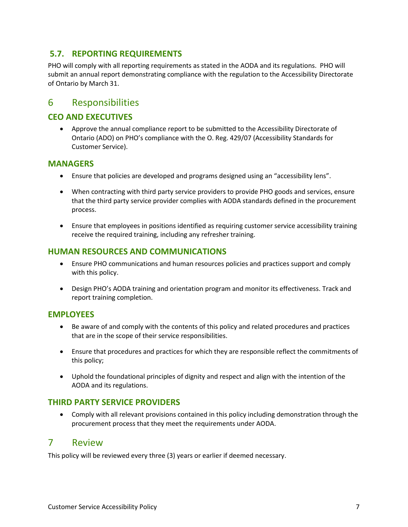## **5.7. REPORTING REQUIREMENTS**

PHO will comply with all reporting requirements as stated in the AODA and its regulations. PHO will submit an annual report demonstrating compliance with the regulation to the Accessibility Directorate of Ontario by March 31.

## 6 Responsibilities

## **CEO AND EXECUTIVES**

• Approve the annual compliance report to be submitted to the Accessibility Directorate of Ontario (ADO) on PHO's compliance with the O. Reg. 429/07 (Accessibility Standards for Customer Service).

#### **MANAGERS**

- Ensure that policies are developed and programs designed using an "accessibility lens".
- When contracting with third party service providers to provide PHO goods and services, ensure that the third party service provider complies with AODA standards defined in the procurement process.
- Ensure that employees in positions identified as requiring customer service accessibility training receive the required training, including any refresher training.

#### **HUMAN RESOURCES AND COMMUNICATIONS**

- Ensure PHO communications and human resources policies and practices support and comply with this policy.
- Design PHO's AODA training and orientation program and monitor its effectiveness. Track and report training completion.

#### **EMPLOYEES**

- Be aware of and comply with the contents of this policy and related procedures and practices that are in the scope of their service responsibilities.
- Ensure that procedures and practices for which they are responsible reflect the commitments of this policy;
- Uphold the foundational principles of dignity and respect and align with the intention of the AODA and its regulations.

## **THIRD PARTY SERVICE PROVIDERS**

• Comply with all relevant provisions contained in this policy including demonstration through the procurement process that they meet the requirements under AODA.

## 7 Review

This policy will be reviewed every three (3) years or earlier if deemed necessary.